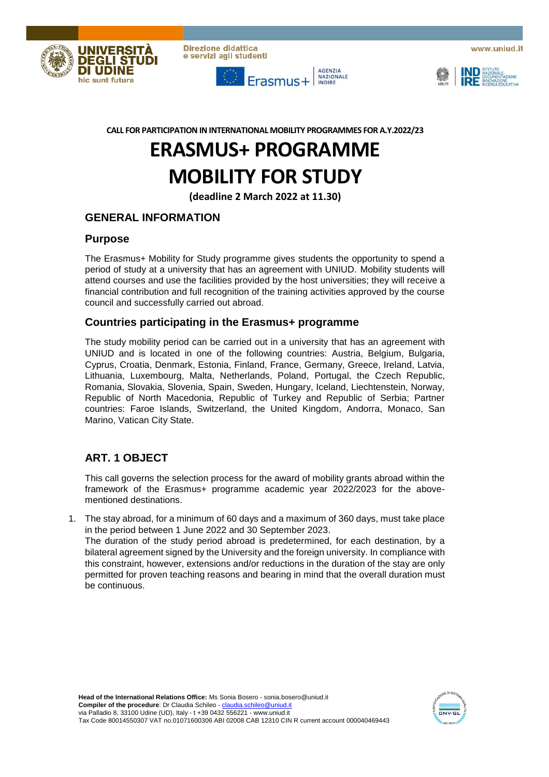

**Direzione didattica** e servizi agli studenti



www.uniud.it



**CALL FOR PARTICIPATION IN INTERNATIONAL MOBILITY PROGRAMMES FOR A.Y.2022/23**

# **ERASMUS+ PROGRAMME MOBILITY FOR STUDY**

**(deadline 2 March 2022 at 11.30)**

# **GENERAL INFORMATION**

#### **Purpose**

The Erasmus+ Mobility for Study programme gives students the opportunity to spend a period of study at a university that has an agreement with UNIUD. Mobility students will attend courses and use the facilities provided by the host universities; they will receive a financial contribution and full recognition of the training activities approved by the course council and successfully carried out abroad.

#### **Countries participating in the Erasmus+ programme**

The study mobility period can be carried out in a university that has an agreement with UNIUD and is located in one of the following countries: Austria, Belgium, Bulgaria, Cyprus, Croatia, Denmark, Estonia, Finland, France, Germany, Greece, Ireland, Latvia, Lithuania, Luxembourg, Malta, Netherlands, Poland, Portugal, the Czech Republic, Romania, Slovakia, Slovenia, Spain, Sweden, Hungary, Iceland, Liechtenstein, Norway, Republic of North Macedonia, Republic of Turkey and Republic of Serbia; Partner countries: Faroe Islands, Switzerland, the United Kingdom, Andorra, Monaco, San Marino, Vatican City State.

# **ART. 1 OBJECT**

This call governs the selection process for the award of mobility grants abroad within the framework of the Erasmus+ programme academic year 2022/2023 for the abovementioned destinations.

1. The stay abroad, for a minimum of 60 days and a maximum of 360 days, must take place in the period between 1 June 2022 and 30 September 2023. The duration of the study period abroad is predetermined, for each destination, by a bilateral agreement signed by the University and the foreign university. In compliance with this constraint, however, extensions and/or reductions in the duration of the stay are only permitted for proven teaching reasons and bearing in mind that the overall duration must be continuous.

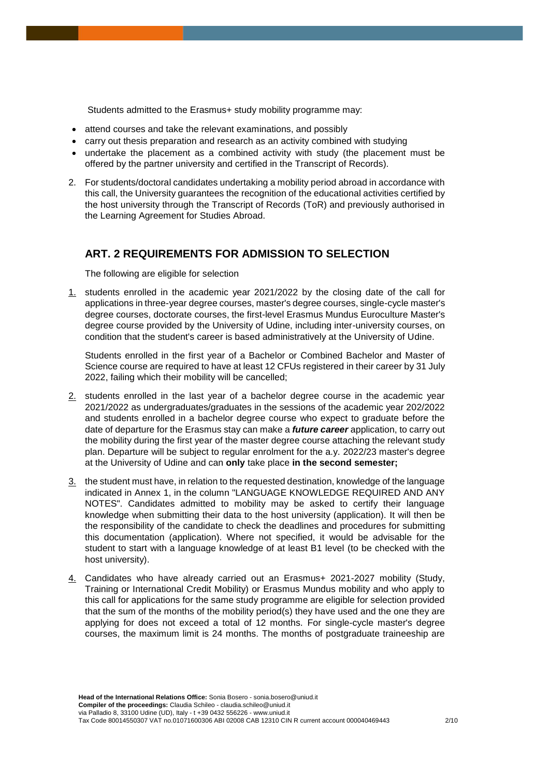Students admitted to the Erasmus+ study mobility programme may:

- attend courses and take the relevant examinations, and possibly
- carry out thesis preparation and research as an activity combined with studying
- undertake the placement as a combined activity with study (the placement must be offered by the partner university and certified in the Transcript of Records).
- 2. For students/doctoral candidates undertaking a mobility period abroad in accordance with this call, the University guarantees the recognition of the educational activities certified by the host university through the Transcript of Records (ToR) and previously authorised in the Learning Agreement for Studies Abroad.

## **ART. 2 REQUIREMENTS FOR ADMISSION TO SELECTION**

The following are eligible for selection

1. students enrolled in the academic year 2021/2022 by the closing date of the call for applications in three-year degree courses, master's degree courses, single-cycle master's degree courses, doctorate courses, the first-level Erasmus Mundus Euroculture Master's degree course provided by the University of Udine, including inter-university courses, on condition that the student's career is based administratively at the University of Udine.

Students enrolled in the first year of a Bachelor or Combined Bachelor and Master of Science course are required to have at least 12 CFUs registered in their career by 31 July 2022, failing which their mobility will be cancelled;

- 2. students enrolled in the last year of a bachelor degree course in the academic year 2021/2022 as undergraduates/graduates in the sessions of the academic year 202/2022 and students enrolled in a bachelor degree course who expect to graduate before the date of departure for the Erasmus stay can make a *future career* application, to carry out the mobility during the first year of the master degree course attaching the relevant study plan. Departure will be subject to regular enrolment for the a.y. 2022/23 master's degree at the University of Udine and can **only** take place **in the second semester;**
- 3. the student must have, in relation to the requested destination, knowledge of the language indicated in Annex 1, in the column "LANGUAGE KNOWLEDGE REQUIRED AND ANY NOTES". Candidates admitted to mobility may be asked to certify their language knowledge when submitting their data to the host university (application). It will then be the responsibility of the candidate to check the deadlines and procedures for submitting this documentation (application). Where not specified, it would be advisable for the student to start with a language knowledge of at least B1 level (to be checked with the host university).
- 4. Candidates who have already carried out an Erasmus+ 2021-2027 mobility (Study, Training or International Credit Mobility) or Erasmus Mundus mobility and who apply to this call for applications for the same study programme are eligible for selection provided that the sum of the months of the mobility period(s) they have used and the one they are applying for does not exceed a total of 12 months. For single-cycle master's degree courses, the maximum limit is 24 months. The months of postgraduate traineeship are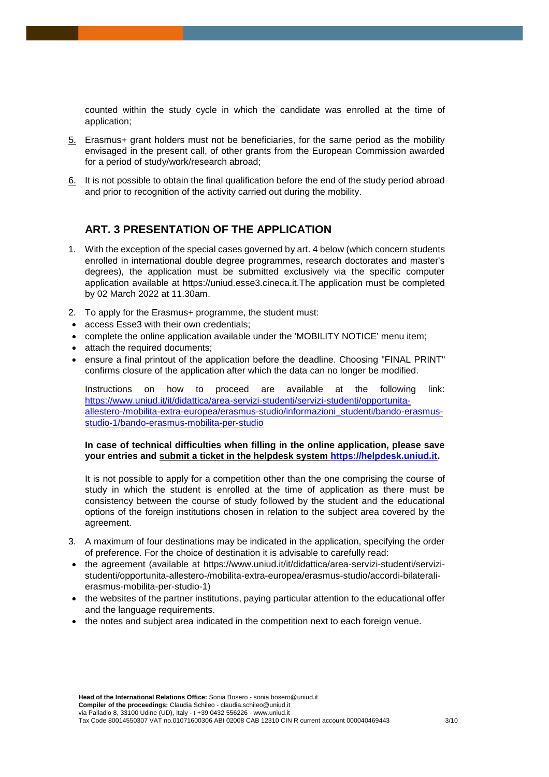counted within the study cycle in which the candidate was enrolled at the time of application;

- 5. Erasmus+ grant holders must not be beneficiaries, for the same period as the mobility envisaged in the present call, of other grants from the European Commission awarded for a period of study/work/research abroad;
- 6. It is not possible to obtain the final qualification before the end of the study period abroad and prior to recognition of the activity carried out during the mobility.

## **ART. 3 PRESENTATION OF THE APPLICATION**

- 1. With the exception of the special cases governed by art. 4 below (which concern students enrolled in international double degree programmes, research doctorates and master's degrees), the application must be submitted exclusively via the specific computer application available at https://uniud.esse3.cineca.it.The application must be completed by 02 March 2022 at 11.30am.
- 2. To apply for the Erasmus+ programme, the student must:
- access Esse3 with their own credentials;
- complete the online application available under the 'MOBILITY NOTICE' menu item;
- attach the required documents;
- ensure a final printout of the application before the deadline. Choosing "FINAL PRINT" confirms closure of the application after which the data can no longer be modified.

Instructions on how to proceed are available at the following link: [https://www.uniud.it/it/didattica/area-servizi-studenti/servizi-studenti/opportunita](https://www.uniud.it/it/didattica/area-servizi-studenti/servizi-studenti/opportunita-allestero-/mobilita-extra-europea/erasmus-studio/informazioni_studenti/bando-erasmus-studio-1/bando-erasmus-mobilita-per-studio)[allestero-/mobilita-extra-europea/erasmus-studio/informazioni\\_studenti/bando-erasmus](https://www.uniud.it/it/didattica/area-servizi-studenti/servizi-studenti/opportunita-allestero-/mobilita-extra-europea/erasmus-studio/informazioni_studenti/bando-erasmus-studio-1/bando-erasmus-mobilita-per-studio)[studio-1/bando-erasmus-mobilita-per-studio](https://www.uniud.it/it/didattica/area-servizi-studenti/servizi-studenti/opportunita-allestero-/mobilita-extra-europea/erasmus-studio/informazioni_studenti/bando-erasmus-studio-1/bando-erasmus-mobilita-per-studio) 

#### **In case of technical difficulties when filling in the online application, please save your entries and submit a ticket in the helpdesk system [https://helpdesk.uniud.it.](https://helpdesk.uniud.it/)**

It is not possible to apply for a competition other than the one comprising the course of study in which the student is enrolled at the time of application as there must be consistency between the course of study followed by the student and the educational options of the foreign institutions chosen in relation to the subject area covered by the agreement.

- 3. A maximum of four destinations may be indicated in the application, specifying the order of preference. For the choice of destination it is advisable to carefully read:
- the agreement (available at https://www.uniud.it/it/didattica/area-servizi-studenti/servizistudenti/opportunita-allestero-/mobilita-extra-europea/erasmus-studio/accordi-bilateralierasmus-mobilita-per-studio-1)
- the websites of the partner institutions, paying particular attention to the educational offer and the language requirements.
- the notes and subject area indicated in the competition next to each foreign venue.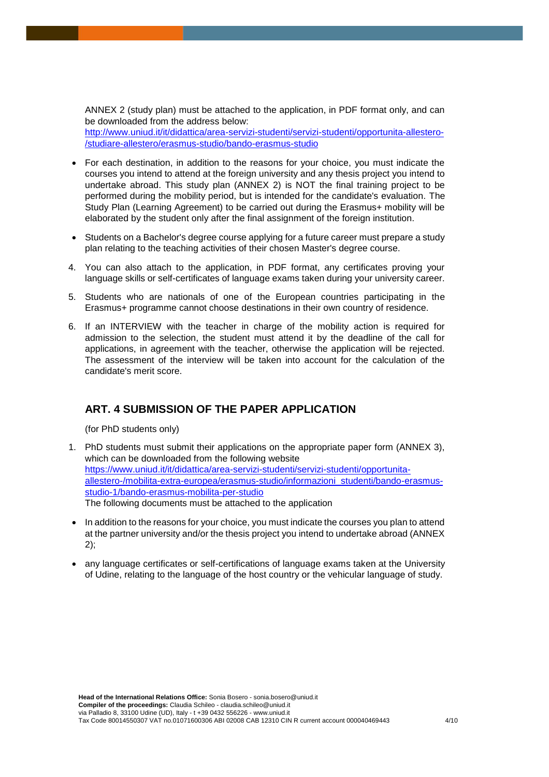ANNEX 2 (study plan) must be attached to the application, in PDF format only, and can be downloaded from the address below: [http://www.uniud.it/it/didattica/area-servizi-studenti/servizi-studenti/opportunita-allestero-](http://www.uniud.it/it/didattica/area-servizi-studenti/servizi-studenti/opportunita-allestero-/studiare-allestero/erasmus-studio/bando-erasmus-studio) [/studiare-allestero/erasmus-studio/bando-erasmus-studio](http://www.uniud.it/it/didattica/area-servizi-studenti/servizi-studenti/opportunita-allestero-/studiare-allestero/erasmus-studio/bando-erasmus-studio) 

- For each destination, in addition to the reasons for your choice, you must indicate the courses you intend to attend at the foreign university and any thesis project you intend to undertake abroad. This study plan (ANNEX 2) is NOT the final training project to be performed during the mobility period, but is intended for the candidate's evaluation. The Study Plan (Learning Agreement) to be carried out during the Erasmus+ mobility will be elaborated by the student only after the final assignment of the foreign institution.
- Students on a Bachelor's degree course applying for a future career must prepare a study plan relating to the teaching activities of their chosen Master's degree course.
- 4. You can also attach to the application, in PDF format, any certificates proving your language skills or self-certificates of language exams taken during your university career.
- 5. Students who are nationals of one of the European countries participating in the Erasmus+ programme cannot choose destinations in their own country of residence.
- 6. If an INTERVIEW with the teacher in charge of the mobility action is required for admission to the selection, the student must attend it by the deadline of the call for applications, in agreement with the teacher, otherwise the application will be rejected. The assessment of the interview will be taken into account for the calculation of the candidate's merit score.

# **ART. 4 SUBMISSION OF THE PAPER APPLICATION**

(for PhD students only)

- 1. PhD students must submit their applications on the appropriate paper form (ANNEX 3), which can be downloaded from the following website [https://www.uniud.it/it/didattica/area-servizi-studenti/servizi-studenti/opportunita](https://www.uniud.it/it/didattica/area-servizi-studenti/servizi-studenti/opportunita-allestero-/mobilita-extra-europea/erasmus-studio/informazioni_studenti/bando-erasmus-studio-1/bando-erasmus-mobilita-per-studio)[allestero-/mobilita-extra-europea/erasmus-studio/informazioni\\_studenti/bando-erasmus](https://www.uniud.it/it/didattica/area-servizi-studenti/servizi-studenti/opportunita-allestero-/mobilita-extra-europea/erasmus-studio/informazioni_studenti/bando-erasmus-studio-1/bando-erasmus-mobilita-per-studio)[studio-1/bando-erasmus-mobilita-per-studio](https://www.uniud.it/it/didattica/area-servizi-studenti/servizi-studenti/opportunita-allestero-/mobilita-extra-europea/erasmus-studio/informazioni_studenti/bando-erasmus-studio-1/bando-erasmus-mobilita-per-studio)  The following documents must be attached to the application
- In addition to the reasons for your choice, you must indicate the courses you plan to attend at the partner university and/or the thesis project you intend to undertake abroad (ANNEX 2);
- any language certificates or self-certifications of language exams taken at the University of Udine, relating to the language of the host country or the vehicular language of study.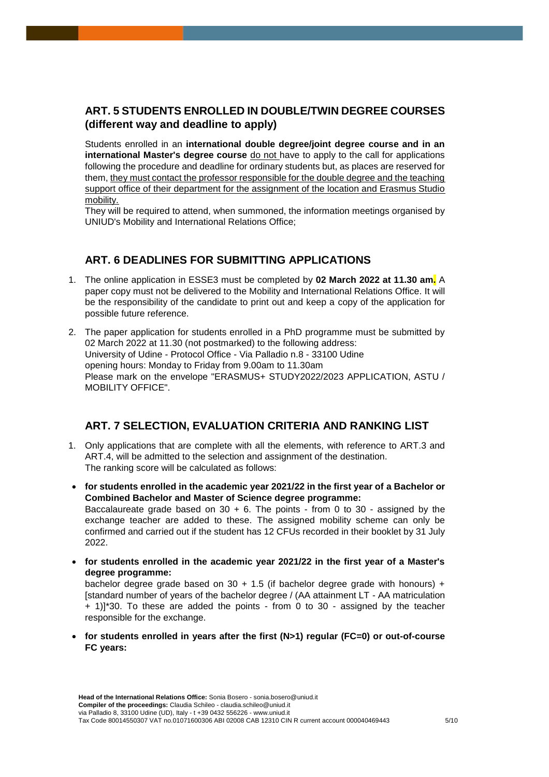# **ART. 5 STUDENTS ENROLLED IN DOUBLE/TWIN DEGREE COURSES (different way and deadline to apply)**

Students enrolled in an **international double degree/joint degree course and in an international Master's degree course** do not have to apply to the call for applications following the procedure and deadline for ordinary students but, as places are reserved for them, they must contact the professor responsible for the double degree and the teaching support office of their department for the assignment of the location and Erasmus Studio mobility.

They will be required to attend, when summoned, the information meetings organised by UNIUD's Mobility and International Relations Office;

## **ART. 6 DEADLINES FOR SUBMITTING APPLICATIONS**

- 1. The online application in ESSE3 must be completed by **02 March 2022 at 11.30 am.** A paper copy must not be delivered to the Mobility and International Relations Office. It will be the responsibility of the candidate to print out and keep a copy of the application for possible future reference.
- 2. The paper application for students enrolled in a PhD programme must be submitted by 02 March 2022 at 11.30 (not postmarked) to the following address: University of Udine - Protocol Office - Via Palladio n.8 - 33100 Udine opening hours: Monday to Friday from 9.00am to 11.30am Please mark on the envelope "ERASMUS+ STUDY2022/2023 APPLICATION, ASTU / MOBILITY OFFICE".

# **ART. 7 SELECTION, EVALUATION CRITERIA AND RANKING LIST**

- 1. Only applications that are complete with all the elements, with reference to ART.3 and ART.4, will be admitted to the selection and assignment of the destination. The ranking score will be calculated as follows:
- **for students enrolled in the academic year 2021/22 in the first year of a Bachelor or Combined Bachelor and Master of Science degree programme:** Baccalaureate grade based on  $30 + 6$ . The points - from 0 to  $30$  - assigned by the exchange teacher are added to these. The assigned mobility scheme can only be confirmed and carried out if the student has 12 CFUs recorded in their booklet by 31 July 2022.
- **for students enrolled in the academic year 2021/22 in the first year of a Master's degree programme:**

bachelor degree grade based on  $30 + 1.5$  (if bachelor degree grade with honours) + [standard number of years of the bachelor degree / (AA attainment LT - AA matriculation + 1)]\*30. To these are added the points - from 0 to 30 - assigned by the teacher responsible for the exchange.

 **for students enrolled in years after the first (N>1) regular (FC=0) or out-of-course FC years:**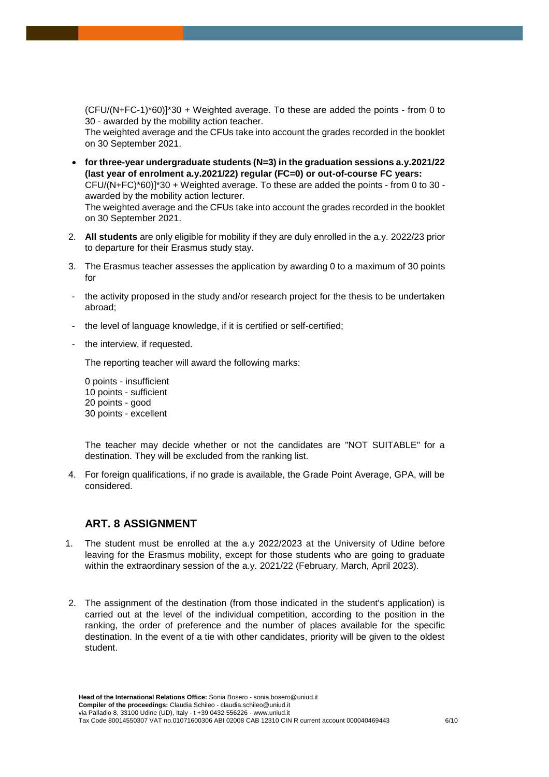(CFU/(N+FC-1)\*60)]\*30 + Weighted average. To these are added the points - from 0 to 30 - awarded by the mobility action teacher.

The weighted average and the CFUs take into account the grades recorded in the booklet on 30 September 2021.

- **for three-year undergraduate students (N=3) in the graduation sessions a.y.2021/22 (last year of enrolment a.y.2021/22) regular (FC=0) or out-of-course FC years:** CFU/(N+FC)\*60)]\*30 + Weighted average. To these are added the points - from 0 to 30 awarded by the mobility action lecturer. The weighted average and the CFUs take into account the grades recorded in the booklet on 30 September 2021.
- 2. **All students** are only eligible for mobility if they are duly enrolled in the a.y. 2022/23 prior to departure for their Erasmus study stay.
- 3. The Erasmus teacher assesses the application by awarding 0 to a maximum of 30 points for
- the activity proposed in the study and/or research project for the thesis to be undertaken abroad;
- the level of language knowledge, if it is certified or self-certified;
- the interview, if requested.

The reporting teacher will award the following marks:

0 points - insufficient 10 points - sufficient 20 points - good 30 points - excellent

The teacher may decide whether or not the candidates are "NOT SUITABLE" for a destination. They will be excluded from the ranking list.

4. For foreign qualifications, if no grade is available, the Grade Point Average, GPA, will be considered.

#### **ART. 8 ASSIGNMENT**

- 1. The student must be enrolled at the a.y 2022/2023 at the University of Udine before leaving for the Erasmus mobility, except for those students who are going to graduate within the extraordinary session of the a.y. 2021/22 (February, March, April 2023).
- 2. The assignment of the destination (from those indicated in the student's application) is carried out at the level of the individual competition, according to the position in the ranking, the order of preference and the number of places available for the specific destination. In the event of a tie with other candidates, priority will be given to the oldest student.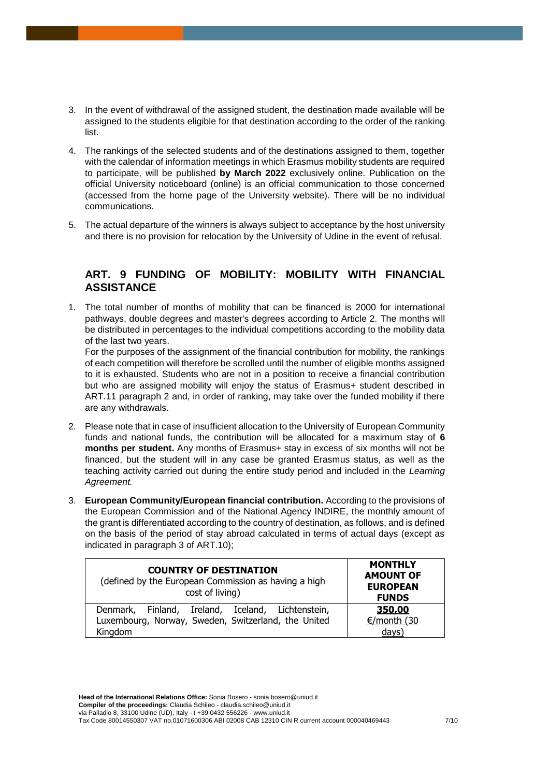- 3. In the event of withdrawal of the assigned student, the destination made available will be assigned to the students eligible for that destination according to the order of the ranking list.
- 4. The rankings of the selected students and of the destinations assigned to them, together with the calendar of information meetings in which Erasmus mobility students are required to participate, will be published **by March 2022** exclusively online. Publication on the official University noticeboard (online) is an official communication to those concerned (accessed from the home page of the University website). There will be no individual communications.
- 5. The actual departure of the winners is always subject to acceptance by the host university and there is no provision for relocation by the University of Udine in the event of refusal.

# **ART. 9 FUNDING OF MOBILITY: MOBILITY WITH FINANCIAL ASSISTANCE**

1. The total number of months of mobility that can be financed is 2000 for international pathways, double degrees and master's degrees according to Article 2. The months will be distributed in percentages to the individual competitions according to the mobility data of the last two years.

For the purposes of the assignment of the financial contribution for mobility, the rankings of each competition will therefore be scrolled until the number of eligible months assigned to it is exhausted. Students who are not in a position to receive a financial contribution but who are assigned mobility will enjoy the status of Erasmus+ student described in ART.11 paragraph 2 and, in order of ranking, may take over the funded mobility if there are any withdrawals.

- 2. Please note that in case of insufficient allocation to the University of European Community funds and national funds, the contribution will be allocated for a maximum stay of **6 months per student.** Any months of Erasmus+ stay in excess of six months will not be financed, but the student will in any case be granted Erasmus status, as well as the teaching activity carried out during the entire study period and included in the *Learning Agreement.*
- 3. **European Community/European financial contribution.** According to the provisions of the European Commission and of the National Agency INDIRE, the monthly amount of the grant is differentiated according to the country of destination, as follows, and is defined on the basis of the period of stay abroad calculated in terms of actual days (except as indicated in paragraph 3 of ART.10);

| <b>COUNTRY OF DESTINATION</b><br>(defined by the European Commission as having a high<br>cost of living) | <b>MONTHLY</b><br><b>AMOUNT OF</b><br><b>EUROPEAN</b><br><b>FUNDS</b> |
|----------------------------------------------------------------------------------------------------------|-----------------------------------------------------------------------|
| Denmark, Finland, Ireland, Iceland, Lichtenstein,<br>Luxembourg, Norway, Sweden, Switzerland, the United | 350,00<br>€/month (30                                                 |
| Kingdom                                                                                                  | $\frac{days}{ }$                                                      |

**Head of the International Relations Office:** Sonia Bosero - sonia.bosero@uniud.it **Compiler of the proceedings:** Claudia Schileo - claudia.schileo@uniud.it via Palladio 8, 33100 Udine (UD), Italy - t +39 0432 556226 - www.uniud.it Tax Code 80014550307 VAT no.01071600306 ABI 02008 CAB 12310 CIN R current account 000040469443 7/10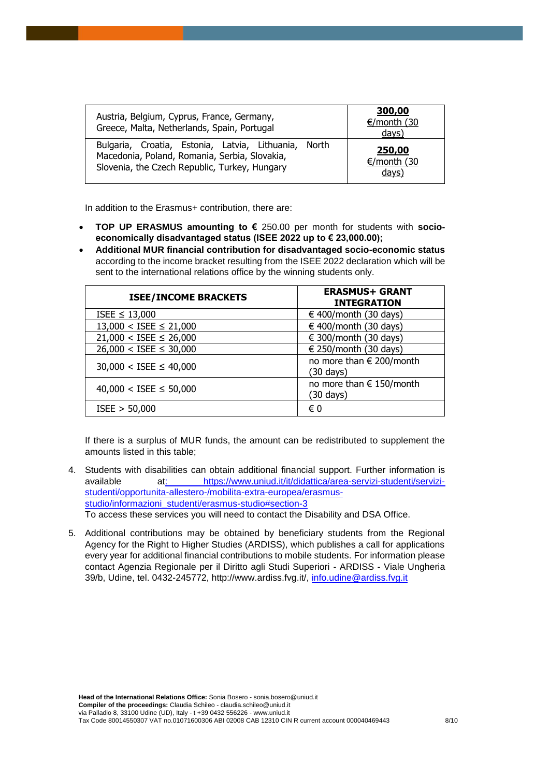| Austria, Belgium, Cyprus, France, Germany,<br>Greece, Malta, Netherlands, Spain, Portugal                                                              | 300,00<br>€/month(30)<br>days) |
|--------------------------------------------------------------------------------------------------------------------------------------------------------|--------------------------------|
| Bulgaria, Croatia, Estonia, Latvia, Lithuania, North<br>Macedonia, Poland, Romania, Serbia, Slovakia,<br>Slovenia, the Czech Republic, Turkey, Hungary | 250,00<br>€/month (30<br>days) |

In addition to the Erasmus+ contribution, there are:

- **TOP UP ERASMUS amounting to €** 250.00 per month for students with **socioeconomically disadvantaged status (ISEE 2022 up to € 23,000.00);**
- **Additional MUR financial contribution for disadvantaged socio-economic status**  according to the income bracket resulting from the ISEE 2022 declaration which will be sent to the international relations office by the winning students only.

| <b>ISEE/INCOME BRACKETS</b>   | <b>ERASMUS+ GRANT</b><br><b>INTEGRATION</b>     |
|-------------------------------|-------------------------------------------------|
| ISEE $\leq$ 13,000            | € 400/month (30 days)                           |
| $13,000 <$ ISEE $\leq 21,000$ | $\in$ 400/month (30 days)                       |
| $21,000 <$ ISEE $\leq 26,000$ | $\in$ 300/month (30 days)                       |
| $26,000 <$ ISEE $\leq 30,000$ | $\in$ 250/month (30 days)                       |
| $30,000 <$ ISEE $\leq 40,000$ | no more than € 200/month<br>(30 days)           |
| $40,000 <$ ISEE $\leq 50,000$ | no more than € 150/month<br>$(30 \text{ days})$ |
| ISEE > 50,000                 | € 0                                             |

If there is a surplus of MUR funds, the amount can be redistributed to supplement the amounts listed in this table;

- 4. Students with disabilities can obtain additional financial support. Further information is available a[t: https://www.uniud.it/it/didattica/area-servizi-studenti/servizi](file:///C:/Users/claudia.schileo/AppData/Local/Microsoft/Windows/INetCache/Content.Outlook/DU9EXSFG/:%20https:/www.uniud.it/it/didattica/area-servizi-studenti/servizi-studenti/opportunita-allestero-/mobilita-extra-europea/erasmus-studio/informazioni_studenti/erasmus-studio#section-3)[studenti/opportunita-allestero-/mobilita-extra-europea/erasmus](file:///C:/Users/claudia.schileo/AppData/Local/Microsoft/Windows/INetCache/Content.Outlook/DU9EXSFG/:%20https:/www.uniud.it/it/didattica/area-servizi-studenti/servizi-studenti/opportunita-allestero-/mobilita-extra-europea/erasmus-studio/informazioni_studenti/erasmus-studio#section-3)[studio/informazioni\\_studenti/erasmus-studio#section-3](file:///C:/Users/claudia.schileo/AppData/Local/Microsoft/Windows/INetCache/Content.Outlook/DU9EXSFG/:%20https:/www.uniud.it/it/didattica/area-servizi-studenti/servizi-studenti/opportunita-allestero-/mobilita-extra-europea/erasmus-studio/informazioni_studenti/erasmus-studio#section-3) To access these services you will need to contact the Disability and DSA Office.
- 5. Additional contributions may be obtained by beneficiary students from the Regional Agency for the Right to Higher Studies (ARDISS), which publishes a call for applications every year for additional financial contributions to mobile students. For information please contact Agenzia Regionale per il Diritto agli Studi Superiori - ARDISS - Viale Ungheria 39/b, Udine, tel. 0432-245772, http://www.ardiss.fvg.it/, [info.udine@ardiss.fvg.it](mailto:info.udine@ardiss.fvg.it)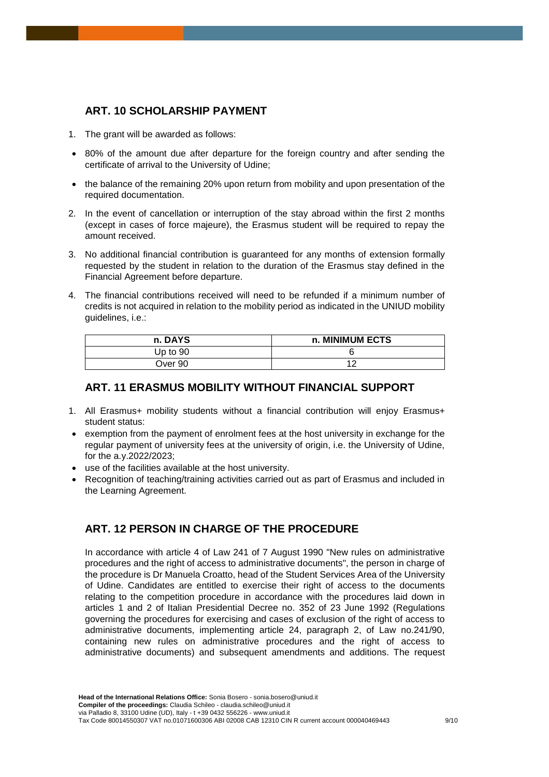# **ART. 10 SCHOLARSHIP PAYMENT**

- 1. The grant will be awarded as follows:
- 80% of the amount due after departure for the foreign country and after sending the certificate of arrival to the University of Udine;
- the balance of the remaining 20% upon return from mobility and upon presentation of the required documentation.
- 2. In the event of cancellation or interruption of the stay abroad within the first 2 months (except in cases of force majeure), the Erasmus student will be required to repay the amount received.
- 3. No additional financial contribution is guaranteed for any months of extension formally requested by the student in relation to the duration of the Erasmus stay defined in the Financial Agreement before departure.
- 4. The financial contributions received will need to be refunded if a minimum number of credits is not acquired in relation to the mobility period as indicated in the UNIUD mobility guidelines, i.e.:

| n. DAYS    | n. MINIMUM ECTS |
|------------|-----------------|
| Up to $90$ |                 |
| Over 90    |                 |

#### **ART. 11 ERASMUS MOBILITY WITHOUT FINANCIAL SUPPORT**

- 1. All Erasmus+ mobility students without a financial contribution will enjoy Erasmus+ student status:
- exemption from the payment of enrolment fees at the host university in exchange for the regular payment of university fees at the university of origin, i.e. the University of Udine, for the a.y.2022/2023;
- use of the facilities available at the host university.
- Recognition of teaching/training activities carried out as part of Erasmus and included in the Learning Agreement.

# **ART. 12 PERSON IN CHARGE OF THE PROCEDURE**

In accordance with article 4 of Law 241 of 7 August 1990 "New rules on administrative procedures and the right of access to administrative documents", the person in charge of the procedure is Dr Manuela Croatto, head of the Student Services Area of the University of Udine. Candidates are entitled to exercise their right of access to the documents relating to the competition procedure in accordance with the procedures laid down in articles 1 and 2 of Italian Presidential Decree no. 352 of 23 June 1992 (Regulations governing the procedures for exercising and cases of exclusion of the right of access to administrative documents, implementing article 24, paragraph 2, of Law no.241/90, containing new rules on administrative procedures and the right of access to administrative documents) and subsequent amendments and additions. The request